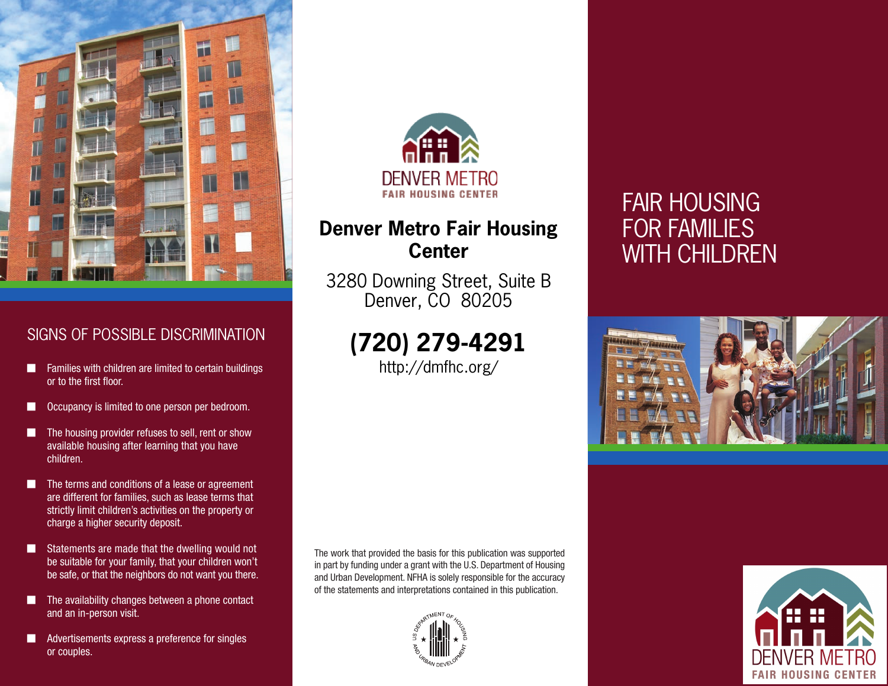

## SIGNS OF POSSIBLE DISCRIMINATION

- Families with children are limited to certain buildings or to the first floor.
- Occupancy is limited to one person per bedroom.
- The housing provider refuses to sell, rent or show available housing after learning that you have children.
- The terms and conditions of a lease or agreement are different for families, such as lease terms that strictly limit children's activities on the property or charge a higher security deposit.
- Statements are made that the dwelling would not be suitable for your family, that your children won't be safe, or that the neighbors do not want you there.
- The availability changes between a phone contact and an in-person visit.
- Advertisements express a preference for singles or couples.



## **Denver Metro Fair Housing Center**

3280 Downing Street, Suite B Denver, CO 80205

# **(720) 279-4291**

http://dmfhc.org/

# FAIR HOUSING FOR FAMILIES WITH CHILDREN



The work that provided the basis for this publication was supported in part by funding under a grant with the U.S. Department of Housing and Urban Development. NFHA is solely responsible for the accuracy of the statements and interpretations contained in this publication.